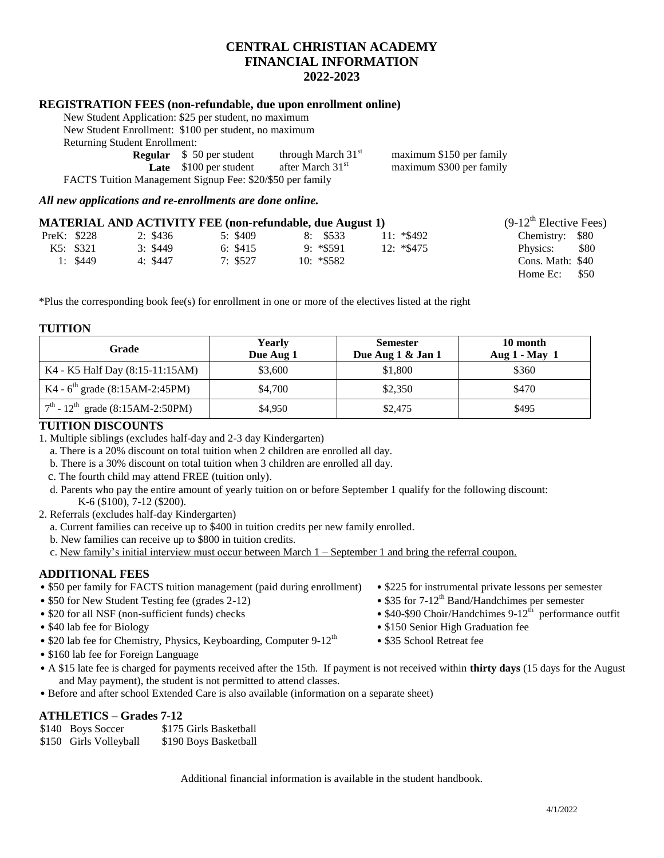## **CENTRAL CHRISTIAN ACADEMY FINANCIAL INFORMATION 2022-2023**

#### **REGISTRATION FEES (non-refundable, due upon enrollment online)**

| New Student Application: \$25 per student, no maximum     |                                  |                              |                          |  |
|-----------------------------------------------------------|----------------------------------|------------------------------|--------------------------|--|
| New Student Enrollment: \$100 per student, no maximum     |                                  |                              |                          |  |
| <b>Returning Student Enrollment:</b>                      |                                  |                              |                          |  |
|                                                           | <b>Regular</b> \$ 50 per student | through March $31st$         | maximum \$150 per family |  |
|                                                           | <b>Late</b> $$100$ per student   | after March 31 <sup>st</sup> | maximum \$300 per family |  |
| FACTS Tuition Management Signup Fee: \$20/\$50 per family |                                  |                              |                          |  |

*All new applications and re-enrollments are done online.*

|             | <b>MATERIAL AND ACTIVITY FEE (non-refundable, due August 1)</b> |          |               |              | $(9-12^{\text{th}})$ Elective Fees) |
|-------------|-----------------------------------------------------------------|----------|---------------|--------------|-------------------------------------|
| PreK: \$228 | 2: \$436                                                        | 5: \$409 | 8: \$533      | $11: *\$492$ | Chemistry: \$80                     |
| K5: \$321   | 3: \$449                                                        | 6: \$415 | $9: *$ \$591  | $12: *\$475$ | <b>\$80</b><br>Physics:             |
| 1: \$449    | 4: \$447                                                        | 7: \$527 | $10: *$ \$582 |              | Cons. Math: \$40                    |
|             |                                                                 |          |               |              | Home $Ec:$ \$50                     |

\*Plus the corresponding book fee(s) for enrollment in one or more of the electives listed at the right

#### **TUITION**

| Grade                                          | Yearly<br>Due Aug 1 | <b>Semester</b><br>Due Aug 1 & Jan 1 | 10 month<br>Aug $1 - May$ 1 |
|------------------------------------------------|---------------------|--------------------------------------|-----------------------------|
| K4 - K5 Half Day (8:15-11:15AM)                | \$3,600             | \$1,800                              | \$360                       |
| K4 - $6^{\text{th}}$ grade (8:15AM-2:45PM)     | \$4,700             | \$2,350                              | \$470                       |
| $7th$ - 12 <sup>th</sup> grade (8:15AM-2:50PM) | \$4,950             | \$2,475                              | \$495                       |

#### **TUITION DISCOUNTS**

1. Multiple siblings (excludes half-day and 2-3 day Kindergarten)

a. There is a 20% discount on total tuition when 2 children are enrolled all day.

b. There is a 30% discount on total tuition when 3 children are enrolled all day.

- c. The fourth child may attend FREE (tuition only).
- d. Parents who pay the entire amount of yearly tuition on or before September 1 qualify for the following discount: K-6 (\$100), 7-12 (\$200).
- 2. Referrals (excludes half-day Kindergarten)
	- a. Current families can receive up to \$400 in tuition credits per new family enrolled.
	- b. New families can receive up to \$800 in tuition credits.
	- c. New family's initial interview must occur between March 1 September 1 and bring the referral coupon.

#### **ADDITIONAL FEES**

- \$50 per family for FACTS tuition management (paid during enrollment) \$225 for instrumental private lessons per semester
- 
- $\bullet$  \$20 for all NSF (non-sufficient funds) checks
- 
- \$20 lab fee for Chemistry, Physics, Keyboarding, Computer  $9-12<sup>th</sup>$  \$35 School Retreat fee
- \$160 lab fee for Foreign Language
- A \$15 late fee is charged for payments received after the 15th. If payment is not received within **thirty days** (15 days for the August and May payment), the student is not permitted to attend classes.
- Before and after school Extended Care is also available (information on a separate sheet)

### **ATHLETICS – Grades 7-12**

| \$140 Boys Soccer      | \$175 Girls Basketball |
|------------------------|------------------------|
| \$150 Girls Volleyball | \$190 Boys Basketball  |

Additional financial information is available in the student handbook.

- 
- \$50 for New Student Testing fee (grades 2-12) \$35 for 7-12<sup>th</sup> Band/Handchimes per semester
	- $$40-$90$  Choir/Handchimes  $9-12^{\text{th}}$  performance outfit
- \$40 lab fee for Biology  **\$150 Senior High Graduation fee** 
	-